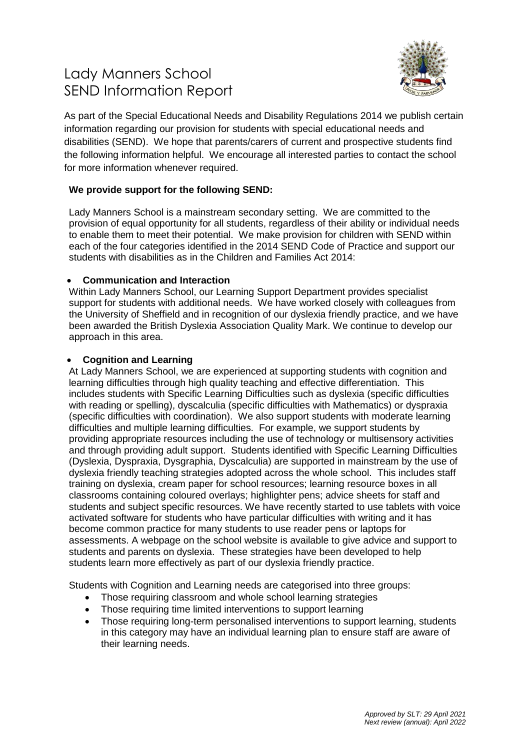# Lady Manners School SEND Information Report



As part of the Special Educational Needs and Disability Regulations 2014 we publish certain information regarding our provision for students with special educational needs and disabilities (SEND). We hope that parents/carers of current and prospective students find the following information helpful. We encourage all interested parties to contact the school for more information whenever required.

# **We provide support for the following SEND:**

Lady Manners School is a mainstream secondary setting. We are committed to the provision of equal opportunity for all students, regardless of their ability or individual needs to enable them to meet their potential. We make provision for children with SEND within each of the four categories identified in the 2014 SEND Code of Practice and support our students with disabilities as in the Children and Families Act 2014:

# **Communication and Interaction**

Within Lady Manners School, our Learning Support Department provides specialist support for students with additional needs. We have worked closely with colleagues from the University of Sheffield and in recognition of our dyslexia friendly practice, and we have been awarded the British Dyslexia Association Quality Mark. We continue to develop our approach in this area.

## **Cognition and Learning**

At Lady Manners School, we are experienced at supporting students with cognition and learning difficulties through high quality teaching and effective differentiation. This includes students with Specific Learning Difficulties such as dyslexia (specific difficulties with reading or spelling), dyscalculia (specific difficulties with Mathematics) or dyspraxia (specific difficulties with coordination). We also support students with moderate learning difficulties and multiple learning difficulties. For example, we support students by providing appropriate resources including the use of technology or multisensory activities and through providing adult support. Students identified with Specific Learning Difficulties (Dyslexia, Dyspraxia, Dysgraphia, Dyscalculia) are supported in mainstream by the use of dyslexia friendly teaching strategies adopted across the whole school. This includes staff training on dyslexia, cream paper for school resources; learning resource boxes in all classrooms containing coloured overlays; highlighter pens; advice sheets for staff and students and subject specific resources. We have recently started to use tablets with voice activated software for students who have particular difficulties with writing and it has become common practice for many students to use reader pens or laptops for assessments. A webpage on the school website is available to give advice and support to students and parents on dyslexia. These strategies have been developed to help students learn more effectively as part of our dyslexia friendly practice.

Students with Cognition and Learning needs are categorised into three groups:

- Those requiring classroom and whole school learning strategies
- Those requiring time limited interventions to support learning
- Those requiring long-term personalised interventions to support learning, students in this category may have an individual learning plan to ensure staff are aware of their learning needs.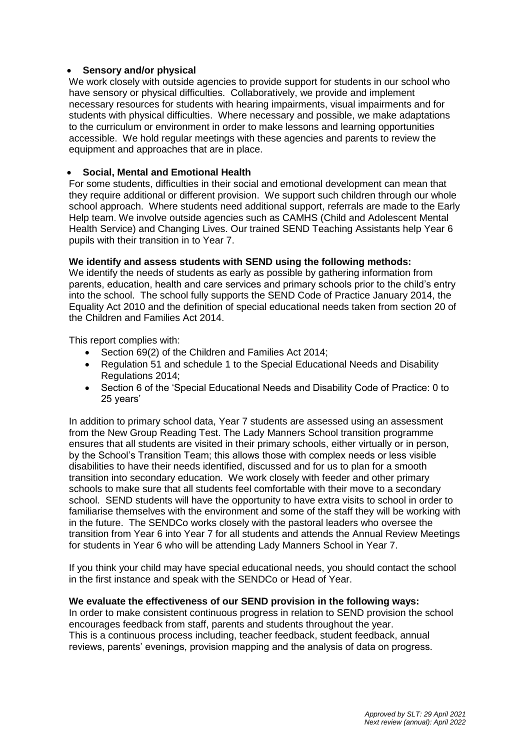# **Sensory and/or physical**

We work closely with outside agencies to provide support for students in our school who have sensory or physical difficulties. Collaboratively, we provide and implement necessary resources for students with hearing impairments, visual impairments and for students with physical difficulties. Where necessary and possible, we make adaptations to the curriculum or environment in order to make lessons and learning opportunities accessible. We hold regular meetings with these agencies and parents to review the equipment and approaches that are in place.

## **Social, Mental and Emotional Health**

For some students, difficulties in their social and emotional development can mean that they require additional or different provision. We support such children through our whole school approach. Where students need additional support, referrals are made to the Early Help team. We involve outside agencies such as CAMHS (Child and Adolescent Mental Health Service) and Changing Lives. Our trained SEND Teaching Assistants help Year 6 pupils with their transition in to Year 7.

## **We identify and assess students with SEND using the following methods:**

We identify the needs of students as early as possible by gathering information from parents, education, health and care services and primary schools prior to the child's entry into the school. The school fully supports the SEND Code of Practice January 2014, the Equality Act 2010 and the definition of special educational needs taken from section 20 of the Children and Families Act 2014.

This report complies with:

- Section 69(2) of the Children and Families Act 2014;
- Regulation 51 and schedule 1 to the Special Educational Needs and Disability Regulations 2014;
- Section 6 of the 'Special Educational Needs and Disability Code of Practice: 0 to 25 years'

In addition to primary school data, Year 7 students are assessed using an assessment from the New Group Reading Test. The Lady Manners School transition programme ensures that all students are visited in their primary schools, either virtually or in person, by the School's Transition Team; this allows those with complex needs or less visible disabilities to have their needs identified, discussed and for us to plan for a smooth transition into secondary education. We work closely with feeder and other primary schools to make sure that all students feel comfortable with their move to a secondary school. SEND students will have the opportunity to have extra visits to school in order to familiarise themselves with the environment and some of the staff they will be working with in the future. The SENDCo works closely with the pastoral leaders who oversee the transition from Year 6 into Year 7 for all students and attends the Annual Review Meetings for students in Year 6 who will be attending Lady Manners School in Year 7.

If you think your child may have special educational needs, you should contact the school in the first instance and speak with the SENDCo or Head of Year.

#### **We evaluate the effectiveness of our SEND provision in the following ways:**

In order to make consistent continuous progress in relation to SEND provision the school encourages feedback from staff, parents and students throughout the year. This is a continuous process including, teacher feedback, student feedback, annual reviews, parents' evenings, provision mapping and the analysis of data on progress.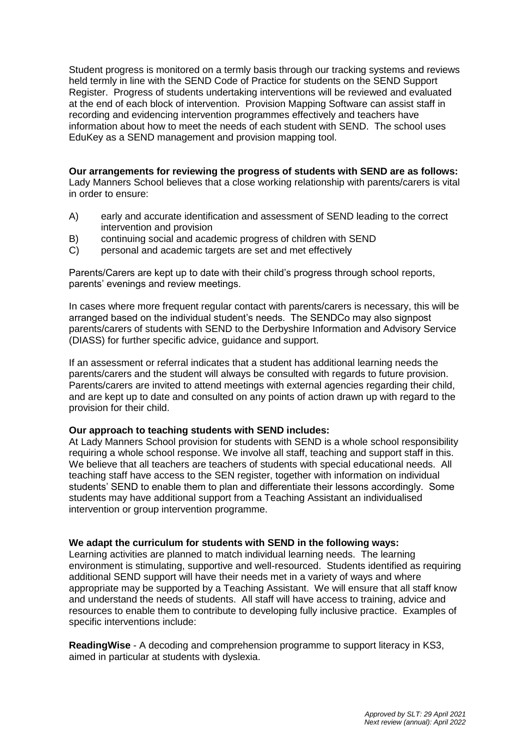Student progress is monitored on a termly basis through our tracking systems and reviews held termly in line with the SEND Code of Practice for students on the SEND Support Register. Progress of students undertaking interventions will be reviewed and evaluated at the end of each block of intervention. Provision Mapping Software can assist staff in recording and evidencing intervention programmes effectively and teachers have information about how to meet the needs of each student with SEND. The school uses EduKey as a SEND management and provision mapping tool.

**Our arrangements for reviewing the progress of students with SEND are as follows:** Lady Manners School believes that a close working relationship with parents/carers is vital in order to ensure:

- A) early and accurate identification and assessment of SEND leading to the correct intervention and provision
- B) continuing social and academic progress of children with SEND
- C) personal and academic targets are set and met effectively

Parents/Carers are kept up to date with their child's progress through school reports, parents' evenings and review meetings.

In cases where more frequent regular contact with parents/carers is necessary, this will be arranged based on the individual student's needs. The SENDCo may also signpost parents/carers of students with SEND to the Derbyshire Information and Advisory Service (DIASS) for further specific advice, guidance and support.

If an assessment or referral indicates that a student has additional learning needs the parents/carers and the student will always be consulted with regards to future provision. Parents/carers are invited to attend meetings with external agencies regarding their child, and are kept up to date and consulted on any points of action drawn up with regard to the provision for their child.

#### **Our approach to teaching students with SEND includes:**

At Lady Manners School provision for students with SEND is a whole school responsibility requiring a whole school response. We involve all staff, teaching and support staff in this. We believe that all teachers are teachers of students with special educational needs. All teaching staff have access to the SEN register, together with information on individual students' SEND to enable them to plan and differentiate their lessons accordingly. Some students may have additional support from a Teaching Assistant an individualised intervention or group intervention programme.

#### **We adapt the curriculum for students with SEND in the following ways:**

Learning activities are planned to match individual learning needs. The learning environment is stimulating, supportive and well-resourced. Students identified as requiring additional SEND support will have their needs met in a variety of ways and where appropriate may be supported by a Teaching Assistant. We will ensure that all staff know and understand the needs of students. All staff will have access to training, advice and resources to enable them to contribute to developing fully inclusive practice. Examples of specific interventions include:

**ReadingWise** - A decoding and comprehension programme to support literacy in KS3, aimed in particular at students with dyslexia.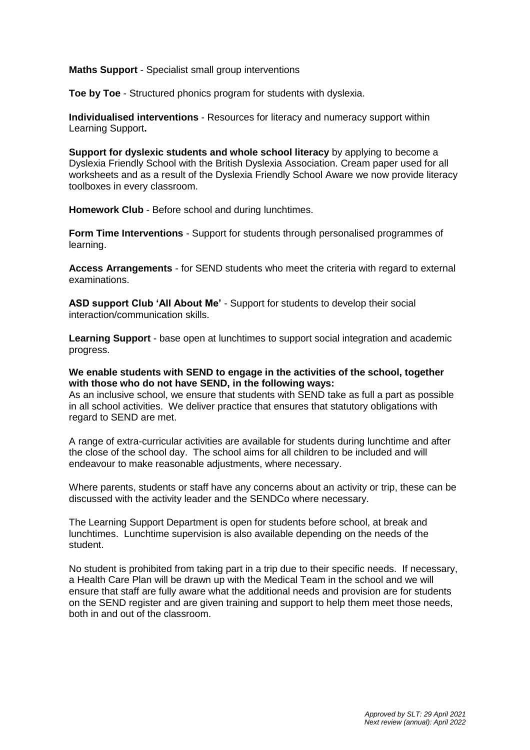#### **Maths Support** - Specialist small group interventions

**Toe by Toe** - Structured phonics program for students with dyslexia.

**Individualised interventions** - Resources for literacy and numeracy support within Learning Support**.**

**Support for dyslexic students and whole school literacy** by applying to become a Dyslexia Friendly School with the British Dyslexia Association. Cream paper used for all worksheets and as a result of the Dyslexia Friendly School Aware we now provide literacy toolboxes in every classroom.

**Homework Club** - Before school and during lunchtimes.

**Form Time Interventions** - Support for students through personalised programmes of learning.

**Access Arrangements** - for SEND students who meet the criteria with regard to external examinations.

**ASD support Club 'All About Me'** - Support for students to develop their social interaction/communication skills.

**Learning Support** - base open at lunchtimes to support social integration and academic progress.

#### **We enable students with SEND to engage in the activities of the school, together with those who do not have SEND, in the following ways:**

As an inclusive school, we ensure that students with SEND take as full a part as possible in all school activities. We deliver practice that ensures that statutory obligations with regard to SEND are met.

A range of extra-curricular activities are available for students during lunchtime and after the close of the school day. The school aims for all children to be included and will endeavour to make reasonable adjustments, where necessary.

Where parents, students or staff have any concerns about an activity or trip, these can be discussed with the activity leader and the SENDCo where necessary.

The Learning Support Department is open for students before school, at break and lunchtimes. Lunchtime supervision is also available depending on the needs of the student.

No student is prohibited from taking part in a trip due to their specific needs. If necessary, a Health Care Plan will be drawn up with the Medical Team in the school and we will ensure that staff are fully aware what the additional needs and provision are for students on the SEND register and are given training and support to help them meet those needs, both in and out of the classroom.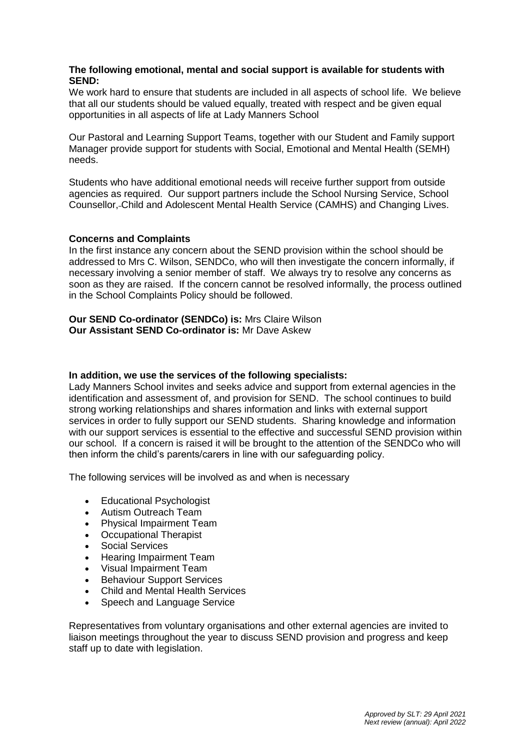# **The following emotional, mental and social support is available for students with SEND:**

We work hard to ensure that students are included in all aspects of school life. We believe that all our students should be valued equally, treated with respect and be given equal opportunities in all aspects of life at Lady Manners School

Our Pastoral and Learning Support Teams, together with our Student and Family support Manager provide support for students with Social, Emotional and Mental Health (SEMH) needs.

Students who have additional emotional needs will receive further support from outside agencies as required. Our support partners include the School Nursing Service, School Counsellor, Child and Adolescent Mental Health Service (CAMHS) and Changing Lives.

## **Concerns and Complaints**

In the first instance any concern about the SEND provision within the school should be addressed to Mrs C. Wilson, SENDCo, who will then investigate the concern informally, if necessary involving a senior member of staff. We always try to resolve any concerns as soon as they are raised. If the concern cannot be resolved informally, the process outlined in the School Complaints Policy should be followed.

# **Our SEND Co-ordinator (SENDCo) is:** Mrs Claire Wilson **Our Assistant SEND Co-ordinator is:** Mr Dave Askew

# **In addition, we use the services of the following specialists:**

Lady Manners School invites and seeks advice and support from external agencies in the identification and assessment of, and provision for SEND. The school continues to build strong working relationships and shares information and links with external support services in order to fully support our SEND students. Sharing knowledge and information with our support services is essential to the effective and successful SEND provision within our school. If a concern is raised it will be brought to the attention of the SENDCo who will then inform the child's parents/carers in line with our safeguarding policy.

The following services will be involved as and when is necessary

- Educational Psychologist
- Autism Outreach Team
- Physical Impairment Team
- Occupational Therapist
- Social Services
- Hearing Impairment Team
- Visual Impairment Team
- Behaviour Support Services
- Child and Mental Health Services
- Speech and Language Service

Representatives from voluntary organisations and other external agencies are invited to liaison meetings throughout the year to discuss SEND provision and progress and keep staff up to date with legislation.